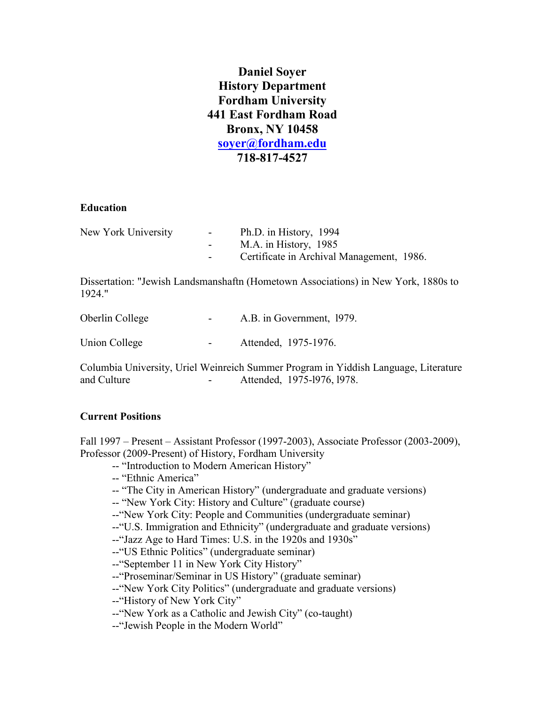**Daniel Soyer History Department Fordham University 441 East Fordham Road Bronx, NY 10458 [soyer@fordham.edu](mailto:soyer@fordham.edu) 718-817-4527**

#### **Education**

| New York University | $\sim$ 100 $\mu$ | Ph.D. in History, 1994                    |
|---------------------|------------------|-------------------------------------------|
|                     |                  | M.A. in History, 1985                     |
|                     |                  | Certificate in Archival Management, 1986. |

Dissertation: "Jewish Landsmanshaftn (Hometown Associations) in New York, 1880s to 1924."

| Oberlin College | $\sim 100$ | A.B. in Government, 1979. |
|-----------------|------------|---------------------------|
| Union College   | $\sim 100$ | Attended, 1975-1976.      |

Columbia University, Uriel Weinreich Summer Program in Yiddish Language, Literature and Culture **-** Attended, 1975-1976, 1978.

# **Current Positions**

Fall 1997 – Present – Assistant Professor (1997-2003), Associate Professor (2003-2009), Professor (2009-Present) of History, Fordham University

- -- "Introduction to Modern American History"
- -- "Ethnic America"
- -- "The City in American History" (undergraduate and graduate versions)
- -- "New York City: History and Culture" (graduate course)
- --"New York City: People and Communities (undergraduate seminar)
- --"U.S. Immigration and Ethnicity" (undergraduate and graduate versions)
- --"Jazz Age to Hard Times: U.S. in the 1920s and 1930s"
- --"US Ethnic Politics" (undergraduate seminar)
- --"September 11 in New York City History"
- --"Proseminar/Seminar in US History" (graduate seminar)
- --"New York City Politics" (undergraduate and graduate versions)
- --"History of New York City"
- --"New York as a Catholic and Jewish City" (co-taught)
- --"Jewish People in the Modern World"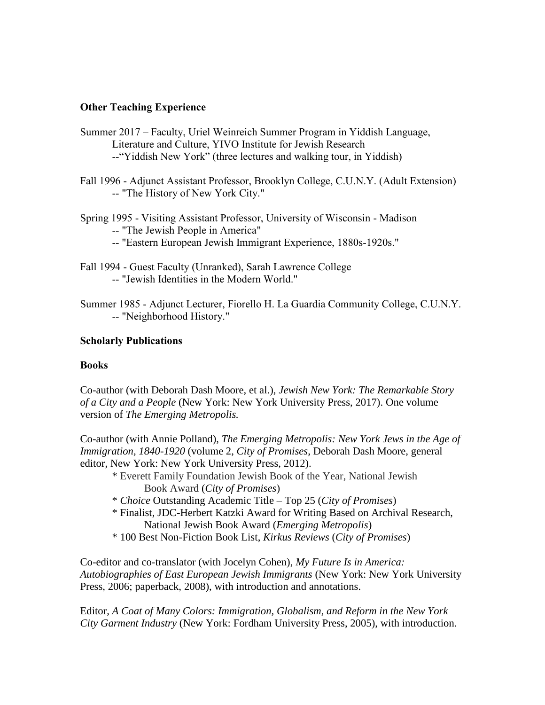# **Other Teaching Experience**

- Summer 2017 Faculty, Uriel Weinreich Summer Program in Yiddish Language, Literature and Culture, YIVO Institute for Jewish Research --"Yiddish New York" (three lectures and walking tour, in Yiddish)
- Fall 1996 Adjunct Assistant Professor, Brooklyn College, C.U.N.Y. (Adult Extension) -- "The History of New York City."
- Spring 1995 Visiting Assistant Professor, University of Wisconsin Madison -- "The Jewish People in America"
	- -- "Eastern European Jewish Immigrant Experience, 1880s-1920s."
- Fall 1994 Guest Faculty (Unranked), Sarah Lawrence College -- "Jewish Identities in the Modern World."
- Summer 1985 Adjunct Lecturer, Fiorello H. La Guardia Community College, C.U.N.Y. -- "Neighborhood History."

# **Scholarly Publications**

## **Books**

Co-author (with Deborah Dash Moore, et al.), *Jewish New York: The Remarkable Story of a City and a People* (New York: New York University Press, 2017). One volume version of *The Emerging Metropolis.*

Co-author (with Annie Polland), *The Emerging Metropolis: New York Jews in the Age of Immigration, 1840-1920* (volume 2, *City of Promises*, Deborah Dash Moore, general editor, New York: New York University Press, 2012).

- \* Everett Family Foundation Jewish Book of the Year, National Jewish Book Award (*City of Promises*)
- \* *Choice* Outstanding Academic Title Top 25 (*City of Promises*)
- \* Finalist, JDC-Herbert Katzki Award for Writing Based on Archival Research, National Jewish Book Award (*Emerging Metropolis*)
- \* 100 Best Non-Fiction Book List, *Kirkus Reviews* (*City of Promises*)

Co-editor and co-translator (with Jocelyn Cohen), *My Future Is in America: Autobiographies of East European Jewish Immigrants* (New York: New York University Press, 2006; paperback, 2008), with introduction and annotations.

Editor, *A Coat of Many Colors: Immigration, Globalism, and Reform in the New York City Garment Industry* (New York: Fordham University Press, 2005), with introduction.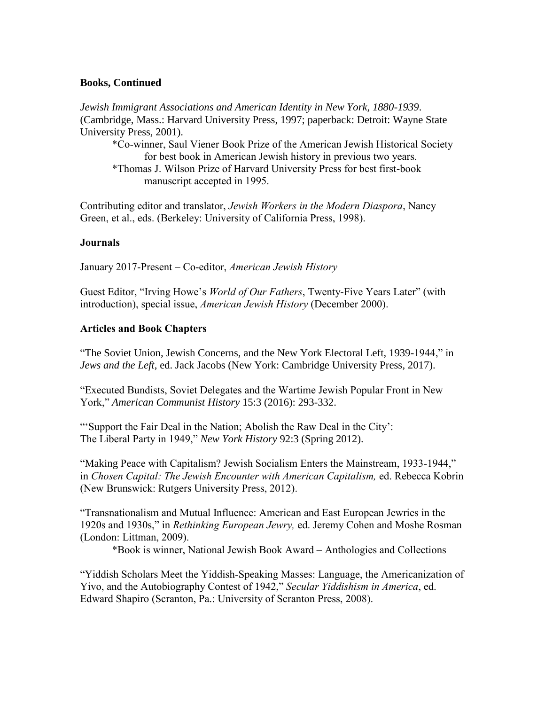## **Books, Continued**

*Jewish Immigrant Associations and American Identity in New York, 1880-1939*. (Cambridge, Mass.: Harvard University Press, 1997; paperback: Detroit: Wayne State University Press, 2001).

\*Co-winner, Saul Viener Book Prize of the American Jewish Historical Society for best book in American Jewish history in previous two years. \*Thomas J. Wilson Prize of Harvard University Press for best first-book manuscript accepted in 1995.

Contributing editor and translator, *Jewish Workers in the Modern Diaspora*, Nancy Green, et al., eds. (Berkeley: University of California Press, 1998).

#### **Journals**

January 2017-Present – Co-editor, *American Jewish History*

Guest Editor, "Irving Howe's *World of Our Fathers*, Twenty-Five Years Later" (with introduction), special issue, *American Jewish History* (December 2000).

## **Articles and Book Chapters**

"The Soviet Union, Jewish Concerns, and the New York Electoral Left, 1939-1944," in *Jews and the Left*, ed. Jack Jacobs (New York: Cambridge University Press, 2017).

"Executed Bundists, Soviet Delegates and the Wartime Jewish Popular Front in New York," *American Communist History* 15:3 (2016): 293-332.

"'Support the Fair Deal in the Nation; Abolish the Raw Deal in the City': The Liberal Party in 1949," *New York History* 92:3 (Spring 2012).

"Making Peace with Capitalism? Jewish Socialism Enters the Mainstream, 1933-1944," in *Chosen Capital: The Jewish Encounter with American Capitalism,* ed. Rebecca Kobrin (New Brunswick: Rutgers University Press, 2012).

"Transnationalism and Mutual Influence: American and East European Jewries in the 1920s and 1930s," in *Rethinking European Jewry,* ed. Jeremy Cohen and Moshe Rosman (London: Littman, 2009).

\*Book is winner, National Jewish Book Award – Anthologies and Collections

"Yiddish Scholars Meet the Yiddish-Speaking Masses: Language, the Americanization of Yivo, and the Autobiography Contest of 1942," *Secular Yiddishism in America*, ed. Edward Shapiro (Scranton, Pa.: University of Scranton Press, 2008).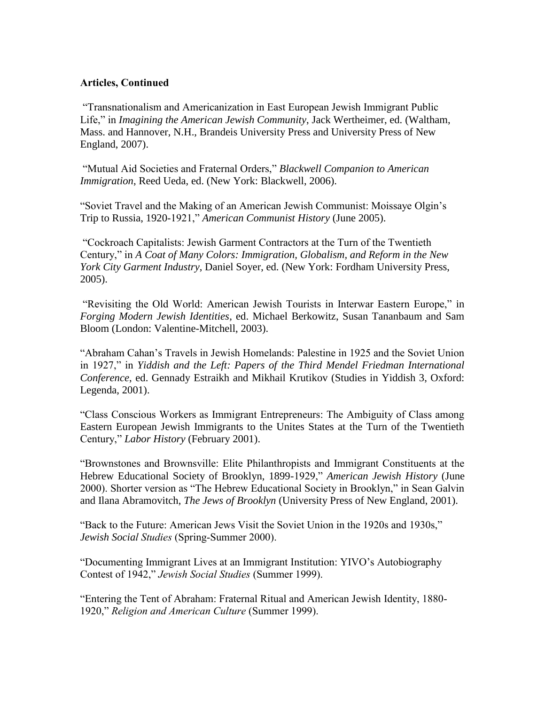### **Articles, Continued**

"Transnationalism and Americanization in East European Jewish Immigrant Public Life," in *Imagining the American Jewish Community*, Jack Wertheimer, ed. (Waltham, Mass. and Hannover, N.H., Brandeis University Press and University Press of New England, 2007).

"Mutual Aid Societies and Fraternal Orders," *Blackwell Companion to American Immigration*, Reed Ueda, ed. (New York: Blackwell, 2006).

"Soviet Travel and the Making of an American Jewish Communist: Moissaye Olgin's Trip to Russia, 1920-1921," *American Communist History* (June 2005).

"Cockroach Capitalists: Jewish Garment Contractors at the Turn of the Twentieth Century," in *A Coat of Many Colors: Immigration, Globalism, and Reform in the New York City Garment Industry*, Daniel Soyer, ed. (New York: Fordham University Press, 2005).

"Revisiting the Old World: American Jewish Tourists in Interwar Eastern Europe," in *Forging Modern Jewish Identities,* ed. Michael Berkowitz, Susan Tananbaum and Sam Bloom (London: Valentine-Mitchell, 2003).

"Abraham Cahan's Travels in Jewish Homelands: Palestine in 1925 and the Soviet Union in 1927," in *Yiddish and the Left: Papers of the Third Mendel Friedman International Conference*, ed. Gennady Estraikh and Mikhail Krutikov (Studies in Yiddish 3, Oxford: Legenda, 2001).

"Class Conscious Workers as Immigrant Entrepreneurs: The Ambiguity of Class among Eastern European Jewish Immigrants to the Unites States at the Turn of the Twentieth Century," *Labor History* (February 2001).

"Brownstones and Brownsville: Elite Philanthropists and Immigrant Constituents at the Hebrew Educational Society of Brooklyn, 1899-1929," *American Jewish History* (June 2000). Shorter version as "The Hebrew Educational Society in Brooklyn," in Sean Galvin and Ilana Abramovitch, *The Jews of Brooklyn* (University Press of New England, 2001).

"Back to the Future: American Jews Visit the Soviet Union in the 1920s and 1930s," *Jewish Social Studies* (Spring-Summer 2000).

"Documenting Immigrant Lives at an Immigrant Institution: YIVO's Autobiography Contest of 1942," *Jewish Social Studies* (Summer 1999).

"Entering the Tent of Abraham: Fraternal Ritual and American Jewish Identity, 1880- 1920," *Religion and American Culture* (Summer 1999).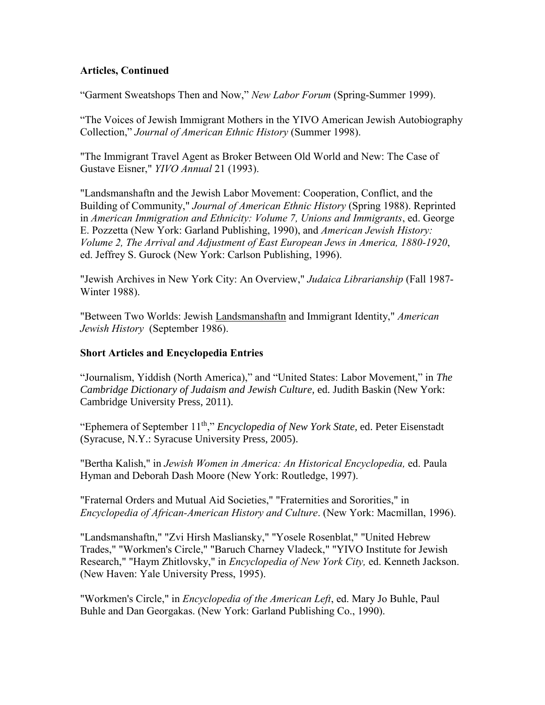## **Articles, Continued**

"Garment Sweatshops Then and Now," *New Labor Forum* (Spring-Summer 1999).

"The Voices of Jewish Immigrant Mothers in the YIVO American Jewish Autobiography Collection," *Journal of American Ethnic History* (Summer 1998).

"The Immigrant Travel Agent as Broker Between Old World and New: The Case of Gustave Eisner," *YIVO Annual* 21 (1993).

"Landsmanshaftn and the Jewish Labor Movement: Cooperation, Conflict, and the Building of Community," *Journal of American Ethnic History* (Spring 1988). Reprinted in *American Immigration and Ethnicity: Volume 7, Unions and Immigrants*, ed. George E. Pozzetta (New York: Garland Publishing, 1990), and *American Jewish History: Volume 2, The Arrival and Adjustment of East European Jews in America, 1880-1920*, ed. Jeffrey S. Gurock (New York: Carlson Publishing, 1996).

"Jewish Archives in New York City: An Overview," *Judaica Librarianship* (Fall 1987- Winter 1988).

"Between Two Worlds: Jewish Landsmanshaftn and Immigrant Identity," *American Jewish History* (September 1986).

## **Short Articles and Encyclopedia Entries**

"Journalism, Yiddish (North America)," and "United States: Labor Movement," in *The Cambridge Dictionary of Judaism and Jewish Culture,* ed. Judith Baskin (New York: Cambridge University Press, 2011).

"Ephemera of September 11<sup>th</sup>," *Encyclopedia of New York State*, ed. Peter Eisenstadt (Syracuse, N.Y.: Syracuse University Press, 2005).

"Bertha Kalish," in *Jewish Women in America: An Historical Encyclopedia,* ed. Paula Hyman and Deborah Dash Moore (New York: Routledge, 1997).

"Fraternal Orders and Mutual Aid Societies," "Fraternities and Sororities," in *Encyclopedia of African-American History and Culture*. (New York: Macmillan, 1996).

"Landsmanshaftn," "Zvi Hirsh Masliansky," "Yosele Rosenblat," "United Hebrew Trades," "Workmen's Circle," "Baruch Charney Vladeck," "YIVO Institute for Jewish Research," "Haym Zhitlovsky," in *Encyclopedia of New York City,* ed. Kenneth Jackson. (New Haven: Yale University Press, 1995).

"Workmen's Circle," in *Encyclopedia of the American Left*, ed. Mary Jo Buhle, Paul Buhle and Dan Georgakas. (New York: Garland Publishing Co., 1990).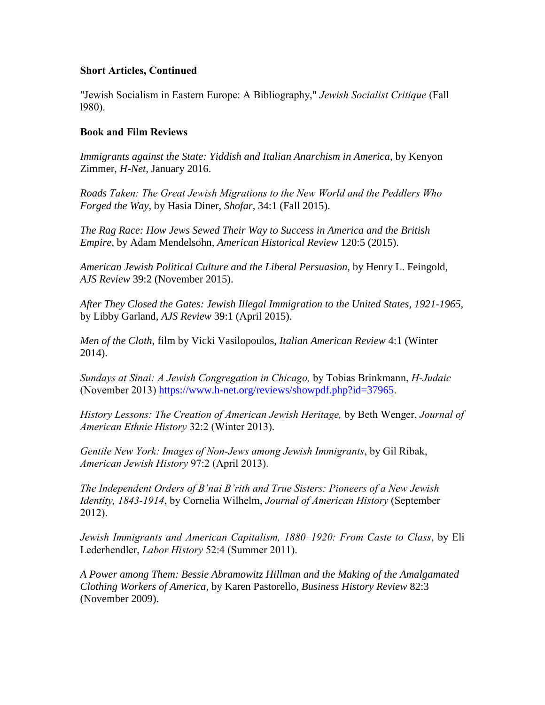## **Short Articles, Continued**

"Jewish Socialism in Eastern Europe: A Bibliography," *Jewish Socialist Critique* (Fall l980).

### **Book and Film Reviews**

*Immigrants against the State: Yiddish and Italian Anarchism in America*, by Kenyon Zimmer, *H-Net,* January 2016.

*Roads Taken: The Great Jewish Migrations to the New World and the Peddlers Who Forged the Way,* by Hasia Diner, *Shofar,* 34:1 (Fall 2015).

*The Rag Race: How Jews Sewed Their Way to Success in America and the British Empire,* by Adam Mendelsohn, *American Historical Review* 120:5 (2015).

*American Jewish Political Culture and the Liberal Persuasion,* by Henry L. Feingold, *AJS Review* 39:2 (November 2015).

*After They Closed the Gates: Jewish Illegal Immigration to the United States, 1921-1965,*  by Libby Garland, *AJS Review* 39:1 (April 2015).

*Men of the Cloth,* film by Vicki Vasilopoulos, *Italian American Review* 4:1 (Winter 2014).

*Sundays at Sinai: A Jewish Congregation in Chicago,* by Tobias Brinkmann, *H-Judaic*  (November 2013) <https://www.h-net.org/reviews/showpdf.php?id=37965>.

*History Lessons: The Creation of American Jewish Heritage,* by Beth Wenger, *Journal of American Ethnic History* 32:2 (Winter 2013).

*Gentile New York: Images of Non-Jews among Jewish Immigrants*, by Gil Ribak, *American Jewish History* 97:2 (April 2013).

*The Independent Orders of B'nai B'rith and True Sisters: Pioneers of a New Jewish Identity, 1843-1914*, by Cornelia Wilhelm, *Journal of American History* (September 2012).

*Jewish Immigrants and American Capitalism, 1880–1920: From Caste to Class*, by Eli Lederhendler, *Labor History* 52:4 (Summer 2011).

*A Power among Them: Bessie Abramowitz Hillman and the Making of the Amalgamated Clothing Workers of America*, by Karen Pastorello, *Business History Review* 82:3 (November 2009).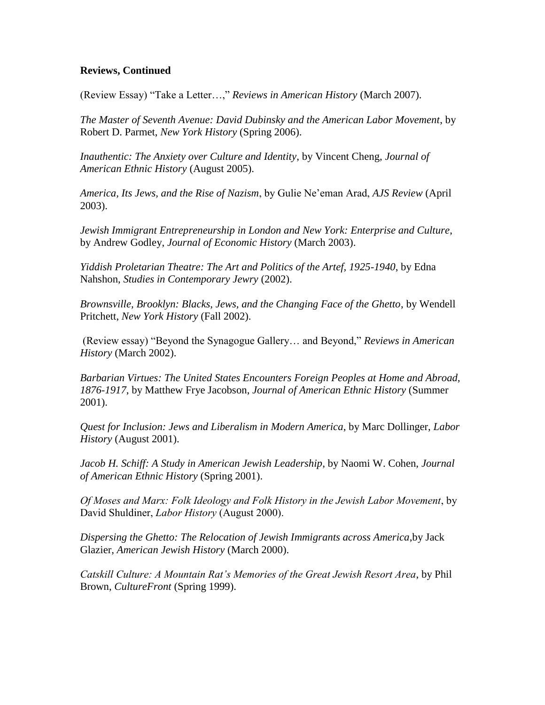## **Reviews, Continued**

(Review Essay) "Take a Letter…," *Reviews in American History* (March 2007).

*The Master of Seventh Avenue: David Dubinsky and the American Labor Movement*, by Robert D. Parmet, *New York History* (Spring 2006).

*Inauthentic: The Anxiety over Culture and Identity*, by Vincent Cheng, *Journal of American Ethnic History* (August 2005).

*America, Its Jews, and the Rise of Nazism*, by Gulie Ne'eman Arad, *AJS Review* (April 2003).

*Jewish Immigrant Entrepreneurship in London and New York: Enterprise and Culture*, by Andrew Godley, *Journal of Economic History* (March 2003).

*Yiddish Proletarian Theatre: The Art and Politics of the Artef, 1925-1940*, by Edna Nahshon, *Studies in Contemporary Jewry* (2002).

*Brownsville, Brooklyn: Blacks, Jews, and the Changing Face of the Ghetto*, by Wendell Pritchett, *New York History* (Fall 2002).

(Review essay) "Beyond the Synagogue Gallery… and Beyond," *Reviews in American History* (March 2002).

*Barbarian Virtues: The United States Encounters Foreign Peoples at Home and Abroad, 1876-1917*, by Matthew Frye Jacobson, *Journal of American Ethnic History* (Summer 2001).

*Quest for Inclusion: Jews and Liberalism in Modern America*, by Marc Dollinger, *Labor History* (August 2001).

*Jacob H. Schiff: A Study in American Jewish Leadership*, by Naomi W. Cohen, *Journal of American Ethnic History* (Spring 2001).

*Of Moses and Marx: Folk Ideology and Folk History in the Jewish Labor Movement*, by David Shuldiner, *Labor History* (August 2000).

*Dispersing the Ghetto: The Relocation of Jewish Immigrants across America*,by Jack Glazier, *American Jewish History* (March 2000).

*Catskill Culture: A Mountain Rat's Memories of the Great Jewish Resort Area*, by Phil Brown, *CultureFront* (Spring 1999).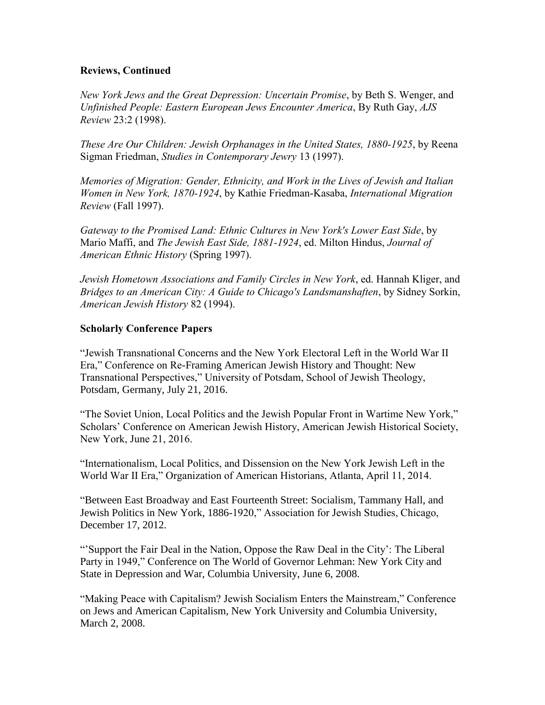## **Reviews, Continued**

*New York Jews and the Great Depression: Uncertain Promise*, by Beth S. Wenger, and *Unfinished People: Eastern European Jews Encounter America*, By Ruth Gay, *AJS Review* 23:2 (1998).

*These Are Our Children: Jewish Orphanages in the United States, 1880-1925*, by Reena Sigman Friedman, *Studies in Contemporary Jewry* 13 (1997).

*Memories of Migration: Gender, Ethnicity, and Work in the Lives of Jewish and Italian Women in New York, 1870-1924*, by Kathie Friedman-Kasaba, *International Migration Review* (Fall 1997).

*Gateway to the Promised Land: Ethnic Cultures in New York's Lower East Side*, by Mario Maffi, and *The Jewish East Side, 1881-1924*, ed. Milton Hindus, *Journal of American Ethnic History* (Spring 1997).

*Jewish Hometown Associations and Family Circles in New York*, ed. Hannah Kliger, and *Bridges to an American City: A Guide to Chicago's Landsmanshaften*, by Sidney Sorkin, *American Jewish History* 82 (1994).

# **Scholarly Conference Papers**

"Jewish Transnational Concerns and the New York Electoral Left in the World War II Era," Conference on Re-Framing American Jewish History and Thought: New Transnational Perspectives," University of Potsdam, School of Jewish Theology, Potsdam, Germany, July 21, 2016.

"The Soviet Union, Local Politics and the Jewish Popular Front in Wartime New York," Scholars' Conference on American Jewish History, American Jewish Historical Society, New York, June 21, 2016.

"Internationalism, Local Politics, and Dissension on the New York Jewish Left in the World War II Era," Organization of American Historians, Atlanta, April 11, 2014.

"Between East Broadway and East Fourteenth Street: Socialism, Tammany Hall, and Jewish Politics in New York, 1886-1920," Association for Jewish Studies, Chicago, December 17, 2012.

"'Support the Fair Deal in the Nation, Oppose the Raw Deal in the City': The Liberal Party in 1949," Conference on The World of Governor Lehman: New York City and State in Depression and War, Columbia University, June 6, 2008.

"Making Peace with Capitalism? Jewish Socialism Enters the Mainstream," Conference on Jews and American Capitalism, New York University and Columbia University, March 2, 2008.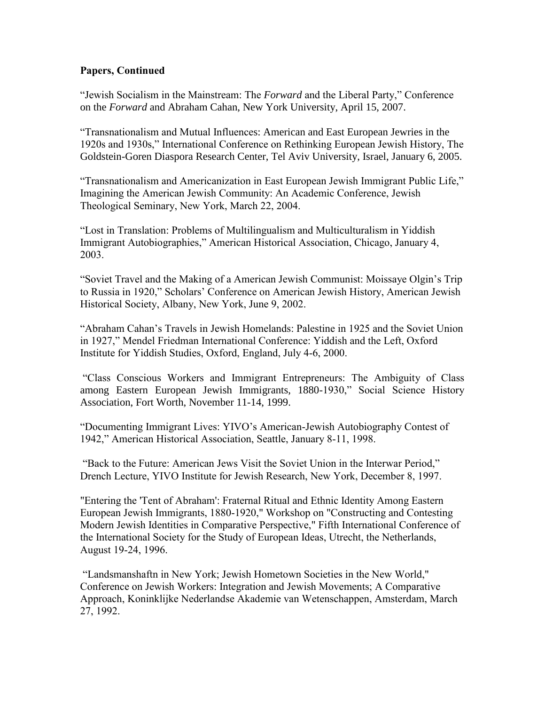# **Papers, Continued**

"Jewish Socialism in the Mainstream: The *Forward* and the Liberal Party," Conference on the *Forward* and Abraham Cahan, New York University, April 15, 2007.

"Transnationalism and Mutual Influences: American and East European Jewries in the 1920s and 1930s," International Conference on Rethinking European Jewish History, The Goldstein-Goren Diaspora Research Center, Tel Aviv University, Israel, January 6, 2005.

"Transnationalism and Americanization in East European Jewish Immigrant Public Life," Imagining the American Jewish Community: An Academic Conference, Jewish Theological Seminary, New York, March 22, 2004.

"Lost in Translation: Problems of Multilingualism and Multiculturalism in Yiddish Immigrant Autobiographies," American Historical Association, Chicago, January 4, 2003.

"Soviet Travel and the Making of a American Jewish Communist: Moissaye Olgin's Trip to Russia in 1920," Scholars' Conference on American Jewish History, American Jewish Historical Society, Albany, New York, June 9, 2002.

"Abraham Cahan's Travels in Jewish Homelands: Palestine in 1925 and the Soviet Union in 1927," Mendel Friedman International Conference: Yiddish and the Left, Oxford Institute for Yiddish Studies, Oxford, England, July 4-6, 2000.

"Class Conscious Workers and Immigrant Entrepreneurs: The Ambiguity of Class among Eastern European Jewish Immigrants, 1880-1930," Social Science History Association, Fort Worth, November 11-14, 1999.

"Documenting Immigrant Lives: YIVO's American-Jewish Autobiography Contest of 1942," American Historical Association, Seattle, January 8-11, 1998.

"Back to the Future: American Jews Visit the Soviet Union in the Interwar Period," Drench Lecture, YIVO Institute for Jewish Research, New York, December 8, 1997.

"Entering the 'Tent of Abraham': Fraternal Ritual and Ethnic Identity Among Eastern European Jewish Immigrants, 1880-1920," Workshop on "Constructing and Contesting Modern Jewish Identities in Comparative Perspective," Fifth International Conference of the International Society for the Study of European Ideas, Utrecht, the Netherlands, August 19-24, 1996.

"Landsmanshaftn in New York; Jewish Hometown Societies in the New World," Conference on Jewish Workers: Integration and Jewish Movements; A Comparative Approach, Koninklijke Nederlandse Akademie van Wetenschappen, Amsterdam, March 27, 1992.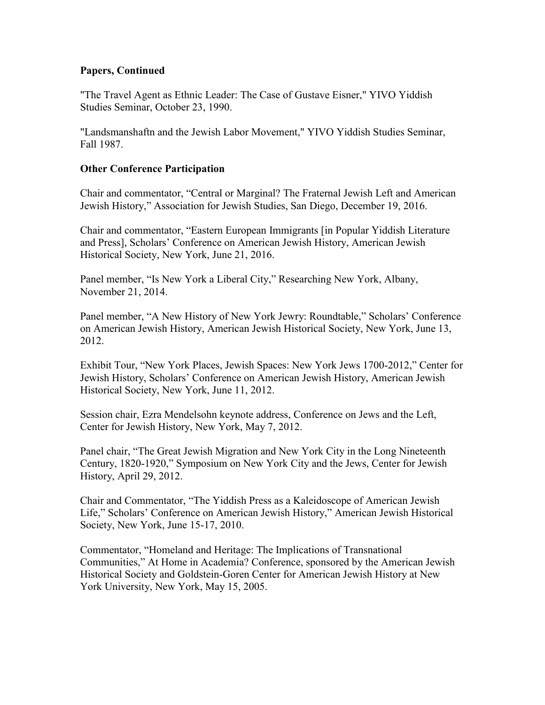## **Papers, Continued**

"The Travel Agent as Ethnic Leader: The Case of Gustave Eisner," YIVO Yiddish Studies Seminar, October 23, 1990.

"Landsmanshaftn and the Jewish Labor Movement," YIVO Yiddish Studies Seminar, Fall 1987.

# **Other Conference Participation**

Chair and commentator, "Central or Marginal? The Fraternal Jewish Left and American Jewish History," Association for Jewish Studies, San Diego, December 19, 2016.

Chair and commentator, "Eastern European Immigrants [in Popular Yiddish Literature and Press], Scholars' Conference on American Jewish History, American Jewish Historical Society, New York, June 21, 2016.

Panel member, "Is New York a Liberal City," Researching New York, Albany, November 21, 2014.

Panel member, "A New History of New York Jewry: Roundtable," Scholars' Conference on American Jewish History, American Jewish Historical Society, New York, June 13, 2012.

Exhibit Tour, "New York Places, Jewish Spaces: New York Jews 1700-2012," Center for Jewish History, Scholars' Conference on American Jewish History, American Jewish Historical Society, New York, June 11, 2012.

Session chair, Ezra Mendelsohn keynote address, Conference on Jews and the Left, Center for Jewish History, New York, May 7, 2012.

Panel chair, "The Great Jewish Migration and New York City in the Long Nineteenth Century, 1820-1920," Symposium on New York City and the Jews, Center for Jewish History, April 29, 2012.

Chair and Commentator, "The Yiddish Press as a Kaleidoscope of American Jewish Life," Scholars' Conference on American Jewish History," American Jewish Historical Society, New York, June 15-17, 2010.

Commentator, "Homeland and Heritage: The Implications of Transnational Communities," At Home in Academia? Conference, sponsored by the American Jewish Historical Society and Goldstein-Goren Center for American Jewish History at New York University, New York, May 15, 2005.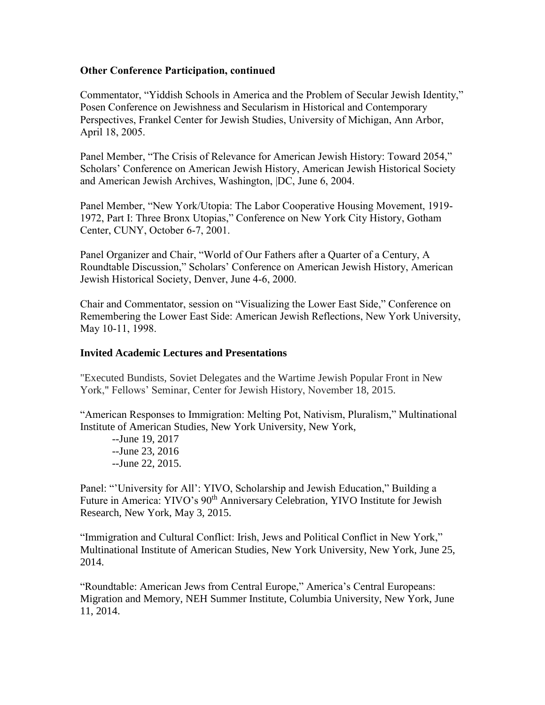## **Other Conference Participation, continued**

Commentator, "Yiddish Schools in America and the Problem of Secular Jewish Identity," Posen Conference on Jewishness and Secularism in Historical and Contemporary Perspectives, Frankel Center for Jewish Studies, University of Michigan, Ann Arbor, April 18, 2005.

Panel Member, "The Crisis of Relevance for American Jewish History: Toward 2054," Scholars' Conference on American Jewish History, American Jewish Historical Society and American Jewish Archives, Washington, |DC, June 6, 2004.

Panel Member, "New York/Utopia: The Labor Cooperative Housing Movement, 1919- 1972, Part I: Three Bronx Utopias," Conference on New York City History, Gotham Center, CUNY, October 6-7, 2001.

Panel Organizer and Chair, "World of Our Fathers after a Quarter of a Century, A Roundtable Discussion," Scholars' Conference on American Jewish History, American Jewish Historical Society, Denver, June 4-6, 2000.

Chair and Commentator, session on "Visualizing the Lower East Side," Conference on Remembering the Lower East Side: American Jewish Reflections, New York University, May 10-11, 1998.

#### **Invited Academic Lectures and Presentations**

"Executed Bundists, Soviet Delegates and the Wartime Jewish Popular Front in New York," Fellows' Seminar, Center for Jewish History, November 18, 2015.

"American Responses to Immigration: Melting Pot, Nativism, Pluralism," Multinational Institute of American Studies, New York University, New York,

--June 19, 2017 --June 23, 2016 --June 22, 2015.

Panel: "'University for All': YIVO, Scholarship and Jewish Education," Building a Future in America: YIVO's 90<sup>th</sup> Anniversary Celebration, YIVO Institute for Jewish Research, New York, May 3, 2015.

"Immigration and Cultural Conflict: Irish, Jews and Political Conflict in New York," Multinational Institute of American Studies, New York University, New York, June 25, 2014.

"Roundtable: American Jews from Central Europe," America's Central Europeans: Migration and Memory, NEH Summer Institute, Columbia University, New York, June 11, 2014.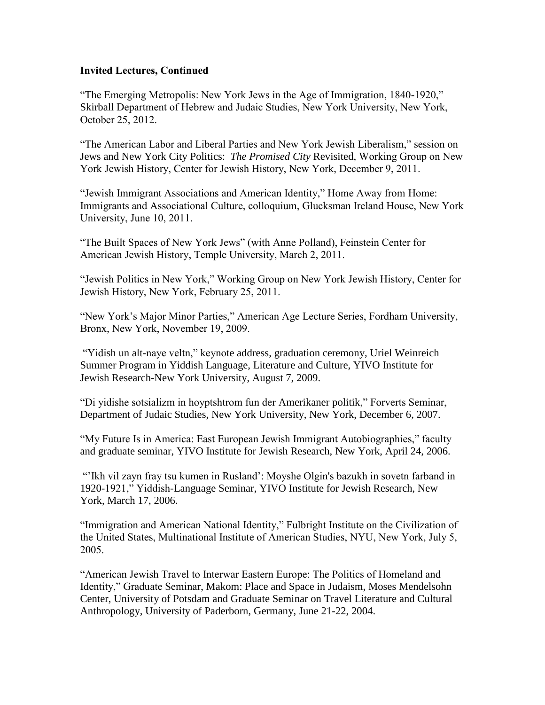## **Invited Lectures, Continued**

"The Emerging Metropolis: New York Jews in the Age of Immigration, 1840-1920," Skirball Department of Hebrew and Judaic Studies, New York University, New York, October 25, 2012.

"The American Labor and Liberal Parties and New York Jewish Liberalism," session on Jews and New York City Politics: *The Promised City* Revisited, Working Group on New York Jewish History, Center for Jewish History, New York, December 9, 2011.

"Jewish Immigrant Associations and American Identity," Home Away from Home: Immigrants and Associational Culture, colloquium, Glucksman Ireland House, New York University, June 10, 2011.

"The Built Spaces of New York Jews" (with Anne Polland), Feinstein Center for American Jewish History, Temple University, March 2, 2011.

"Jewish Politics in New York," Working Group on New York Jewish History, Center for Jewish History, New York, February 25, 2011.

"New York's Major Minor Parties," American Age Lecture Series, Fordham University, Bronx, New York, November 19, 2009.

"Yidish un alt-naye veltn," keynote address, graduation ceremony, Uriel Weinreich Summer Program in Yiddish Language, Literature and Culture, YIVO Institute for Jewish Research-New York University, August 7, 2009.

"Di yidishe sotsializm in hoyptshtrom fun der Amerikaner politik," Forverts Seminar, Department of Judaic Studies, New York University, New York, December 6, 2007.

"My Future Is in America: East European Jewish Immigrant Autobiographies," faculty and graduate seminar, YIVO Institute for Jewish Research, New York, April 24, 2006.

"'Ikh vil zayn fray tsu kumen in Rusland': Moyshe Olgin's bazukh in sovetn farband in 1920-1921," Yiddish-Language Seminar, YIVO Institute for Jewish Research, New York, March 17, 2006.

"Immigration and American National Identity," Fulbright Institute on the Civilization of the United States, Multinational Institute of American Studies, NYU, New York, July 5, 2005.

"American Jewish Travel to Interwar Eastern Europe: The Politics of Homeland and Identity," Graduate Seminar, Makom: Place and Space in Judaism, Moses Mendelsohn Center, University of Potsdam and Graduate Seminar on Travel Literature and Cultural Anthropology, University of Paderborn, Germany, June 21-22, 2004.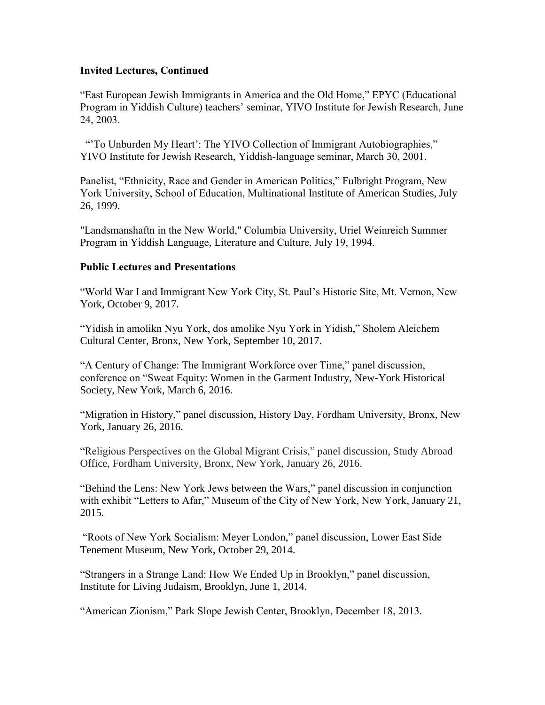# **Invited Lectures, Continued**

"East European Jewish Immigrants in America and the Old Home," EPYC (Educational Program in Yiddish Culture) teachers' seminar, YIVO Institute for Jewish Research, June 24, 2003.

"'To Unburden My Heart': The YIVO Collection of Immigrant Autobiographies," YIVO Institute for Jewish Research, Yiddish-language seminar, March 30, 2001.

Panelist, "Ethnicity, Race and Gender in American Politics," Fulbright Program, New York University, School of Education, Multinational Institute of American Studies, July 26, 1999.

"Landsmanshaftn in the New World," Columbia University, Uriel Weinreich Summer Program in Yiddish Language, Literature and Culture, July 19, 1994.

# **Public Lectures and Presentations**

"World War I and Immigrant New York City, St. Paul's Historic Site, Mt. Vernon, New York, October 9, 2017.

"Yidish in amolikn Nyu York, dos amolike Nyu York in Yidish," Sholem Aleichem Cultural Center, Bronx, New York, September 10, 2017.

"A Century of Change: The Immigrant Workforce over Time," panel discussion, conference on "Sweat Equity: Women in the Garment Industry, New-York Historical Society, New York, March 6, 2016.

"Migration in History," panel discussion, History Day, Fordham University, Bronx, New York, January 26, 2016.

"Religious Perspectives on the Global Migrant Crisis," panel discussion, Study Abroad Office, Fordham University, Bronx, New York, January 26, 2016.

"Behind the Lens: New York Jews between the Wars," panel discussion in conjunction with exhibit "Letters to Afar," Museum of the City of New York, New York, January 21, 2015.

"Roots of New York Socialism: Meyer London," panel discussion, Lower East Side Tenement Museum, New York, October 29, 2014.

"Strangers in a Strange Land: How We Ended Up in Brooklyn," panel discussion, Institute for Living Judaism, Brooklyn, June 1, 2014.

"American Zionism," Park Slope Jewish Center, Brooklyn, December 18, 2013.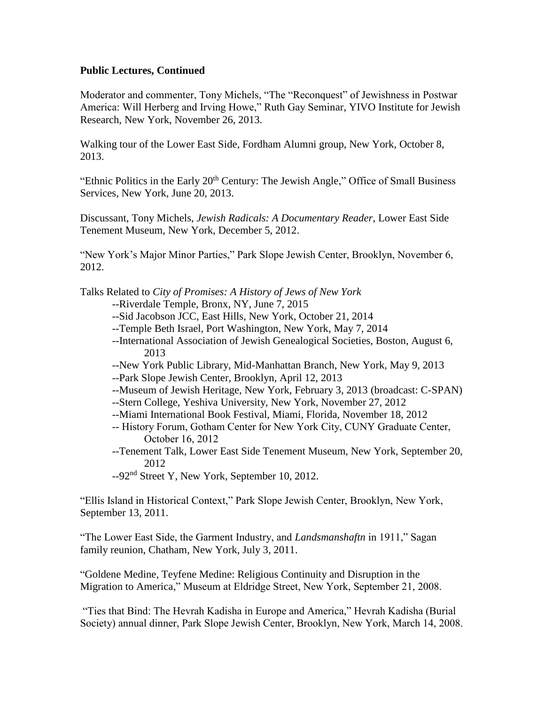Moderator and commenter, Tony Michels, "The "Reconquest" of Jewishness in Postwar America: Will Herberg and Irving Howe," Ruth Gay Seminar, YIVO Institute for Jewish Research, New York, November 26, 2013.

Walking tour of the Lower East Side, Fordham Alumni group, New York, October 8, 2013.

"Ethnic Politics in the Early 20<sup>th</sup> Century: The Jewish Angle," Office of Small Business Services, New York, June 20, 2013.

Discussant, Tony Michels, *Jewish Radicals: A Documentary Reader*, Lower East Side Tenement Museum, New York, December 5, 2012.

"New York's Major Minor Parties," Park Slope Jewish Center, Brooklyn, November 6, 2012.

Talks Related to *City of Promises: A History of Jews of New York*

- --Riverdale Temple, Bronx, NY, June 7, 2015
- --Sid Jacobson JCC, East Hills, New York, October 21, 2014
- --Temple Beth Israel, Port Washington, New York, May 7, 2014
- --International Association of Jewish Genealogical Societies, Boston, August 6, 2013
- --New York Public Library, Mid-Manhattan Branch, New York, May 9, 2013
- --Park Slope Jewish Center, Brooklyn, April 12, 2013
- --Museum of Jewish Heritage, New York, February 3, 2013 (broadcast: C-SPAN)
- --Stern College, Yeshiva University, New York, November 27, 2012
- --Miami International Book Festival, Miami, Florida, November 18, 2012
- -- History Forum, Gotham Center for New York City, CUNY Graduate Center, October 16, 2012
- --Tenement Talk, Lower East Side Tenement Museum, New York, September 20, 2012

--92nd Street Y, New York, September 10, 2012.

"Ellis Island in Historical Context," Park Slope Jewish Center, Brooklyn, New York, September 13, 2011.

"The Lower East Side, the Garment Industry, and *Landsmanshaftn* in 1911," Sagan family reunion, Chatham, New York, July 3, 2011.

"Goldene Medine, Teyfene Medine: Religious Continuity and Disruption in the Migration to America," Museum at Eldridge Street, New York, September 21, 2008.

"Ties that Bind: The Hevrah Kadisha in Europe and America," Hevrah Kadisha (Burial Society) annual dinner, Park Slope Jewish Center, Brooklyn, New York, March 14, 2008.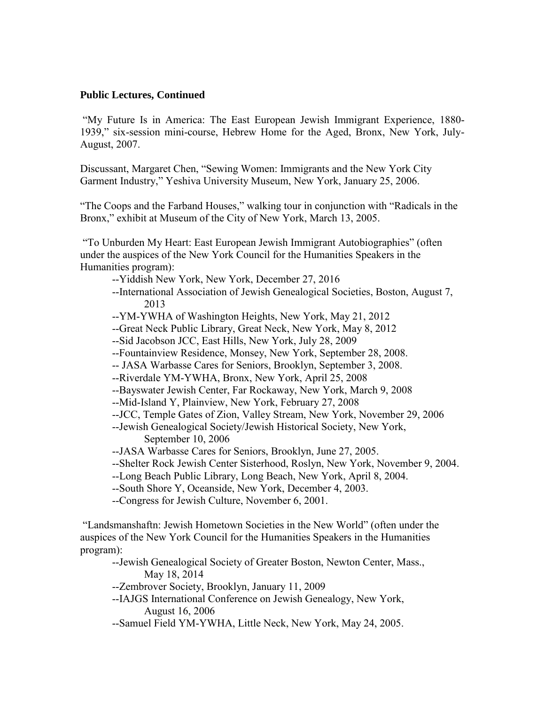"My Future Is in America: The East European Jewish Immigrant Experience, 1880- 1939," six-session mini-course, Hebrew Home for the Aged, Bronx, New York, July-August, 2007.

Discussant, Margaret Chen, "Sewing Women: Immigrants and the New York City Garment Industry," Yeshiva University Museum, New York, January 25, 2006.

"The Coops and the Farband Houses," walking tour in conjunction with "Radicals in the Bronx," exhibit at Museum of the City of New York, March 13, 2005.

"To Unburden My Heart: East European Jewish Immigrant Autobiographies" (often under the auspices of the New York Council for the Humanities Speakers in the Humanities program):

- --Yiddish New York, New York, December 27, 2016
- --International Association of Jewish Genealogical Societies, Boston, August 7, 2013
- --YM-YWHA of Washington Heights, New York, May 21, 2012
- --Great Neck Public Library, Great Neck, New York, May 8, 2012
- --Sid Jacobson JCC, East Hills, New York, July 28, 2009
- --Fountainview Residence, Monsey, New York, September 28, 2008.
- -- JASA Warbasse Cares for Seniors, Brooklyn, September 3, 2008.
- --Riverdale YM-YWHA, Bronx, New York, April 25, 2008
- --Bayswater Jewish Center, Far Rockaway, New York, March 9, 2008
- --Mid-Island Y, Plainview, New York, February 27, 2008
- --JCC, Temple Gates of Zion, Valley Stream, New York, November 29, 2006
- --Jewish Genealogical Society/Jewish Historical Society, New York, September 10, 2006
- --JASA Warbasse Cares for Seniors, Brooklyn, June 27, 2005.
- --Shelter Rock Jewish Center Sisterhood, Roslyn, New York, November 9, 2004.
- --Long Beach Public Library, Long Beach, New York, April 8, 2004.
- --South Shore Y, Oceanside, New York, December 4, 2003.
- --Congress for Jewish Culture, November 6, 2001.

"Landsmanshaftn: Jewish Hometown Societies in the New World" (often under the auspices of the New York Council for the Humanities Speakers in the Humanities program):

--Jewish Genealogical Society of Greater Boston, Newton Center, Mass., May 18, 2014

- --Zembrover Society, Brooklyn, January 11, 2009
- --IAJGS International Conference on Jewish Genealogy, New York, August 16, 2006
- --Samuel Field YM-YWHA, Little Neck, New York, May 24, 2005.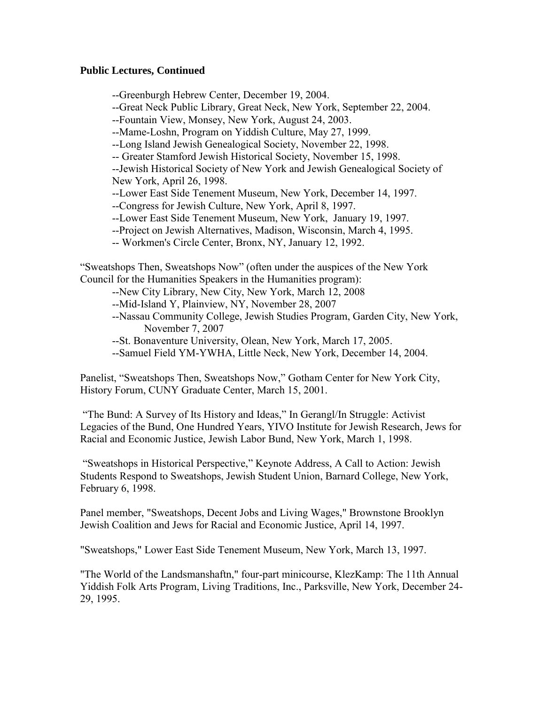--Greenburgh Hebrew Center, December 19, 2004.

--Great Neck Public Library, Great Neck, New York, September 22, 2004.

--Fountain View, Monsey, New York, August 24, 2003.

--Mame-Loshn, Program on Yiddish Culture, May 27, 1999.

--Long Island Jewish Genealogical Society, November 22, 1998.

-- Greater Stamford Jewish Historical Society, November 15, 1998.

--Jewish Historical Society of New York and Jewish Genealogical Society of New York, April 26, 1998.

--Lower East Side Tenement Museum, New York, December 14, 1997.

--Congress for Jewish Culture, New York, April 8, 1997.

--Lower East Side Tenement Museum, New York, January 19, 1997.

- --Project on Jewish Alternatives, Madison, Wisconsin, March 4, 1995.
- -- Workmen's Circle Center, Bronx, NY, January 12, 1992.

"Sweatshops Then, Sweatshops Now" (often under the auspices of the New York Council for the Humanities Speakers in the Humanities program):

- --New City Library, New City, New York, March 12, 2008
- --Mid-Island Y, Plainview, NY, November 28, 2007
- --Nassau Community College, Jewish Studies Program, Garden City, New York, November 7, 2007
- --St. Bonaventure University, Olean, New York, March 17, 2005.
- --Samuel Field YM-YWHA, Little Neck, New York, December 14, 2004.

Panelist, "Sweatshops Then, Sweatshops Now," Gotham Center for New York City, History Forum, CUNY Graduate Center, March 15, 2001.

"The Bund: A Survey of Its History and Ideas," In Gerangl/In Struggle: Activist Legacies of the Bund, One Hundred Years, YIVO Institute for Jewish Research, Jews for Racial and Economic Justice, Jewish Labor Bund, New York, March 1, 1998.

"Sweatshops in Historical Perspective," Keynote Address, A Call to Action: Jewish Students Respond to Sweatshops, Jewish Student Union, Barnard College, New York, February 6, 1998.

Panel member, "Sweatshops, Decent Jobs and Living Wages," Brownstone Brooklyn Jewish Coalition and Jews for Racial and Economic Justice, April 14, 1997.

"Sweatshops," Lower East Side Tenement Museum, New York, March 13, 1997.

"The World of the Landsmanshaftn," four-part minicourse, KlezKamp: The 11th Annual Yiddish Folk Arts Program, Living Traditions, Inc., Parksville, New York, December 24- 29, 1995.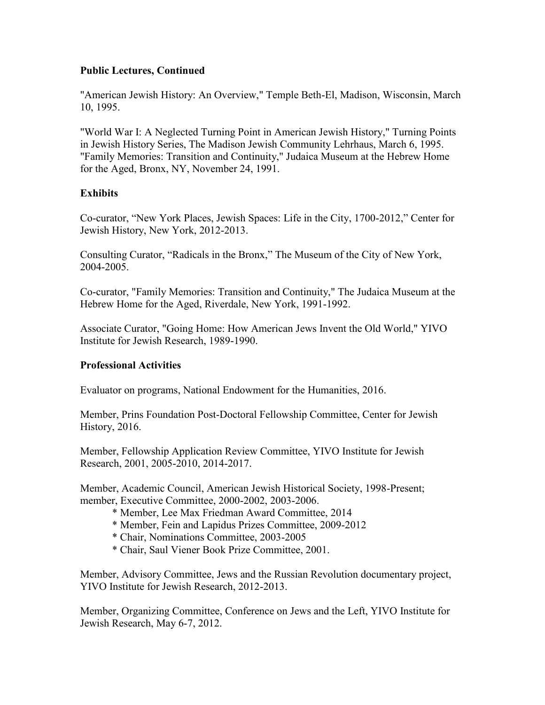"American Jewish History: An Overview," Temple Beth-El, Madison, Wisconsin, March 10, 1995.

"World War I: A Neglected Turning Point in American Jewish History," Turning Points in Jewish History Series, The Madison Jewish Community Lehrhaus, March 6, 1995. "Family Memories: Transition and Continuity," Judaica Museum at the Hebrew Home for the Aged, Bronx, NY, November 24, 1991.

# **Exhibits**

Co-curator, "New York Places, Jewish Spaces: Life in the City, 1700-2012," Center for Jewish History, New York, 2012-2013.

Consulting Curator, "Radicals in the Bronx," The Museum of the City of New York, 2004-2005.

Co-curator, "Family Memories: Transition and Continuity," The Judaica Museum at the Hebrew Home for the Aged, Riverdale, New York, 1991-1992.

Associate Curator, "Going Home: How American Jews Invent the Old World," YIVO Institute for Jewish Research, 1989-1990.

## **Professional Activities**

Evaluator on programs, National Endowment for the Humanities, 2016.

Member, Prins Foundation Post-Doctoral Fellowship Committee, Center for Jewish History, 2016.

Member, Fellowship Application Review Committee, YIVO Institute for Jewish Research, 2001, 2005-2010, 2014-2017.

Member, Academic Council, American Jewish Historical Society, 1998-Present; member, Executive Committee, 2000-2002, 2003-2006.

- \* Member, Lee Max Friedman Award Committee, 2014
- \* Member, Fein and Lapidus Prizes Committee, 2009-2012
- \* Chair, Nominations Committee, 2003-2005
- \* Chair, Saul Viener Book Prize Committee, 2001.

Member, Advisory Committee, Jews and the Russian Revolution documentary project, YIVO Institute for Jewish Research, 2012-2013.

Member, Organizing Committee, Conference on Jews and the Left, YIVO Institute for Jewish Research, May 6-7, 2012.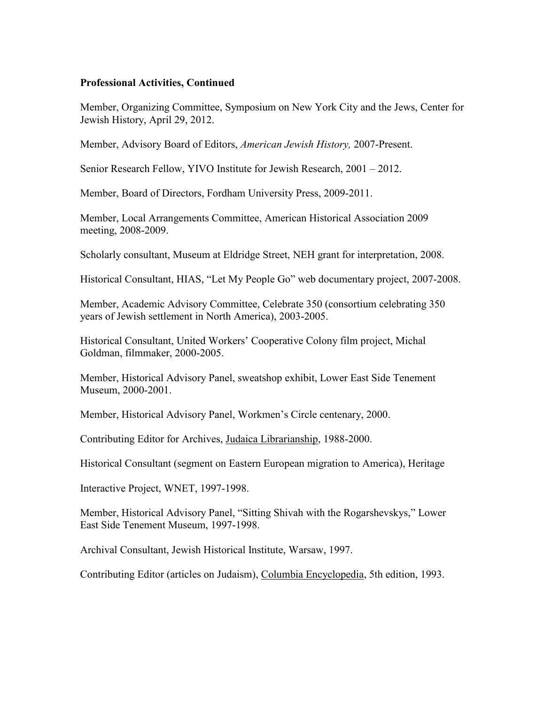### **Professional Activities, Continued**

Member, Organizing Committee, Symposium on New York City and the Jews, Center for Jewish History, April 29, 2012.

Member, Advisory Board of Editors, *American Jewish History,* 2007-Present.

Senior Research Fellow, YIVO Institute for Jewish Research, 2001 – 2012.

Member, Board of Directors, Fordham University Press, 2009-2011.

Member, Local Arrangements Committee, American Historical Association 2009 meeting, 2008-2009.

Scholarly consultant, Museum at Eldridge Street, NEH grant for interpretation, 2008.

Historical Consultant, HIAS, "Let My People Go" web documentary project, 2007-2008.

Member, Academic Advisory Committee, Celebrate 350 (consortium celebrating 350 years of Jewish settlement in North America), 2003-2005.

Historical Consultant, United Workers' Cooperative Colony film project, Michal Goldman, filmmaker, 2000-2005.

Member, Historical Advisory Panel, sweatshop exhibit, Lower East Side Tenement Museum, 2000-2001.

Member, Historical Advisory Panel, Workmen's Circle centenary, 2000.

Contributing Editor for Archives, Judaica Librarianship, 1988-2000.

Historical Consultant (segment on Eastern European migration to America), Heritage

Interactive Project, WNET, 1997-1998.

Member, Historical Advisory Panel, "Sitting Shivah with the Rogarshevskys," Lower East Side Tenement Museum, 1997-1998.

Archival Consultant, Jewish Historical Institute, Warsaw, 1997.

Contributing Editor (articles on Judaism), Columbia Encyclopedia, 5th edition, 1993.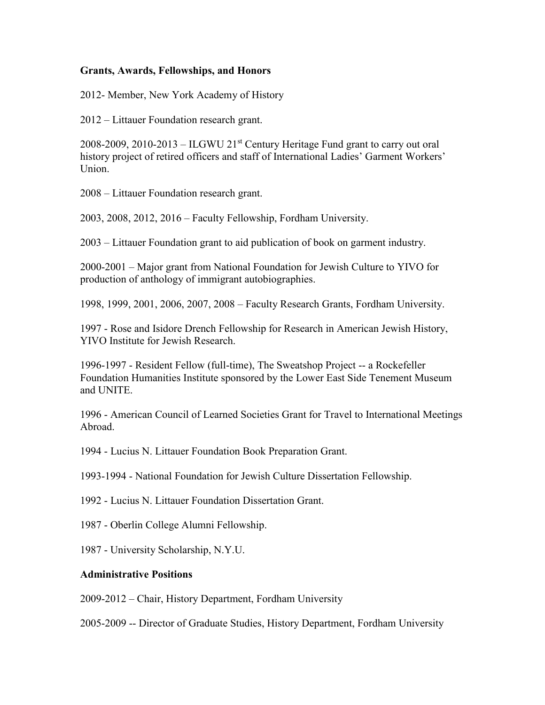## **Grants, Awards, Fellowships, and Honors**

2012- Member, New York Academy of History

2012 – Littauer Foundation research grant.

2008-2009, 2010-2013 – ILGWU 21<sup>st</sup> Century Heritage Fund grant to carry out oral history project of retired officers and staff of International Ladies' Garment Workers' Union.

2008 – Littauer Foundation research grant.

2003, 2008, 2012, 2016 – Faculty Fellowship, Fordham University.

2003 – Littauer Foundation grant to aid publication of book on garment industry.

2000-2001 – Major grant from National Foundation for Jewish Culture to YIVO for production of anthology of immigrant autobiographies.

1998, 1999, 2001, 2006, 2007, 2008 – Faculty Research Grants, Fordham University.

1997 - Rose and Isidore Drench Fellowship for Research in American Jewish History, YIVO Institute for Jewish Research.

1996-1997 - Resident Fellow (full-time), The Sweatshop Project -- a Rockefeller Foundation Humanities Institute sponsored by the Lower East Side Tenement Museum and UNITE.

1996 - American Council of Learned Societies Grant for Travel to International Meetings Abroad.

1994 - Lucius N. Littauer Foundation Book Preparation Grant.

1993-1994 - National Foundation for Jewish Culture Dissertation Fellowship.

1992 - Lucius N. Littauer Foundation Dissertation Grant.

1987 - Oberlin College Alumni Fellowship.

1987 - University Scholarship, N.Y.U.

#### **Administrative Positions**

2009-2012 – Chair, History Department, Fordham University

2005-2009 -- Director of Graduate Studies, History Department, Fordham University